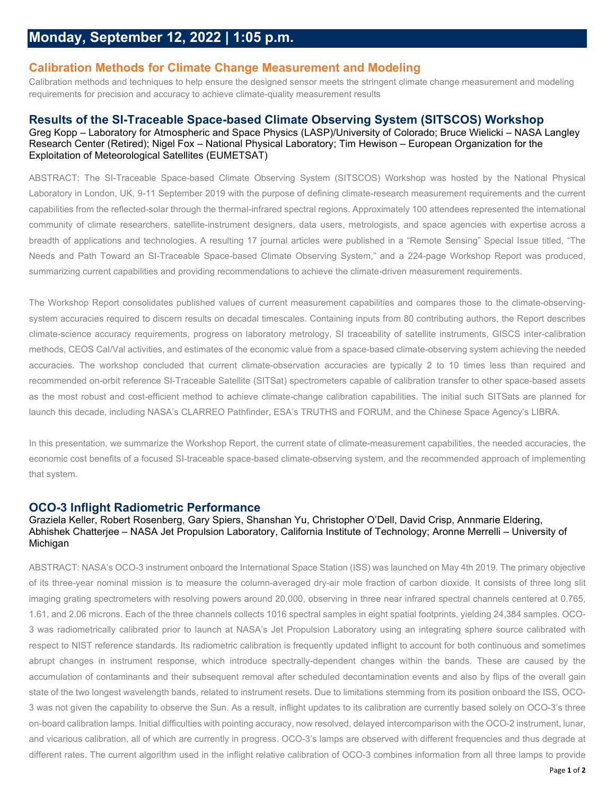# **Calibration Methods for Climate Change Measurement and Modeling**

Calibration methods and techniques to help ensure the designed sensor meets the stringent climate change measurement and modeling requirements for precision and accuracy to achieve climate-quality measurement results

### **Results of the SI-Traceable Space-based Climate Observing System (SITSCOS) Workshop**

Greg Kopp – Laboratory for Atmospheric and Space Physics (LASP)/University of Colorado; Bruce Wielicki – NASA Langley Research Center (Retired); Nigel Fox – National Physical Laboratory; Tim Hewison – European Organization for the Exploitation of Meteorological Satellites (EUMETSAT)

ABSTRACT: The SI-Traceable Space-based Climate Observing System (SITSCOS) Workshop was hosted by the National Physical Laboratory in London, UK, 9-11 September 2019 with the purpose of defining climate-research measurement requirements and the current capabilities from the reflected-solar through the thermal-infrared spectral regions. Approximately 100 attendees represented the international community of climate researchers, satellite-instrument designers, data users, metrologists, and space agencies with expertise across a breadth of applications and technologies. A resulting 17 journal articles were published in a "Remote Sensing" Special Issue titled, "The Needs and Path Toward an SI-Traceable Space-based Climate Observing System," and a 224-page Workshop Report was produced, summarizing current capabilities and providing recommendations to achieve the climate-driven measurement requirements.

The Workshop Report consolidates published values of current measurement capabilities and compares those to the climate-observingsystem accuracies required to discern results on decadal timescales. Containing inputs from 80 contributing authors, the Report describes climate-science accuracy requirements, progress on laboratory metrology, SI traceability of satellite instruments, GISCS inter-calibration methods, CEOS Cal/Val activities, and estimates of the economic value from a space-based climate-observing system achieving the needed accuracies. The workshop concluded that current climate-observation accuracies are typically 2 to 10 times less than required and recommended on-orbit reference SI-Traceable Satellite (SITSat) spectrometers capable of calibration transfer to other space-based assets as the most robust and cost-efficient method to achieve climate-change calibration capabilities. The initial such SITSats are planned for launch this decade, including NASA's CLARREO Pathfinder, ESA's TRUTHS and FORUM, and the Chinese Space Agency's LIBRA.

In this presentation, we summarize the Workshop Report, the current state of climate-measurement capabilities, the needed accuracies, the economic cost benefits of a focused SI-traceable space-based climate-observing system, and the recommended approach of implementing that system.

# **OCO-3 Inflight Radiometric Performance**

#### Graziela Keller, Robert Rosenberg, Gary Spiers, Shanshan Yu, Christopher O'Dell, David Crisp, Annmarie Eldering, Abhishek Chatterjee – NASA Jet Propulsion Laboratory, California Institute of Technology; Aronne Merrelli – University of **Michigan**

ABSTRACT: NASA's OCO-3 instrument onboard the International Space Station (ISS) was launched on May 4th 2019. The primary objective of its three-year nominal mission is to measure the column-averaged dry-air mole fraction of carbon dioxide. It consists of three long slit imaging grating spectrometers with resolving powers around 20,000, observing in three near infrared spectral channels centered at 0.765, 1.61, and 2.06 microns. Each of the three channels collects 1016 spectral samples in eight spatial footprints, yielding 24,384 samples. OCO-3 was radiometrically calibrated prior to launch at NASA's Jet Propulsion Laboratory using an integrating sphere source calibrated with respect to NIST reference standards. Its radiometric calibration is frequently updated inflight to account for both continuous and sometimes abrupt changes in instrument response, which introduce spectrally-dependent changes within the bands. These are caused by the accumulation of contaminants and their subsequent removal after scheduled decontamination events and also by flips of the overall gain state of the two longest wavelength bands, related to instrument resets. Due to limitations stemming from its position onboard the ISS, OCO-3 was not given the capability to observe the Sun. As a result, inflight updates to its calibration are currently based solely on OCO-3's three on-board calibration lamps. Initial difficulties with pointing accuracy, now resolved, delayed intercomparison with the OCO-2 instrument, lunar, and vicarious calibration, all of which are currently in progress. OCO-3's lamps are observed with different frequencies and thus degrade at different rates. The current algorithm used in the inflight relative calibration of OCO-3 combines information from all three lamps to provide